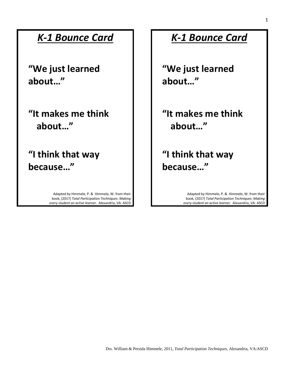#### *K-1 Bounce Card*

**"We just learned about…"**

**"It makes me think about…"**

**"I think that way because…"**

> Adapted by Himmele, P. & Himmele, W. from their book, (2017) *Total Participation Techniques: Making every student an active learner.* Alexandria, VA: ASCD

#### *K-1 Bounce Card*

**"We just learned about…"**

**"It makes me think about…"**

**"I think that way because…"**

> Adapted by Himmele, P. & Himmele, W. from their book, (2017) *Total Participation Techniques: Making every student an active learner.* Alexandria, VA: ASCD